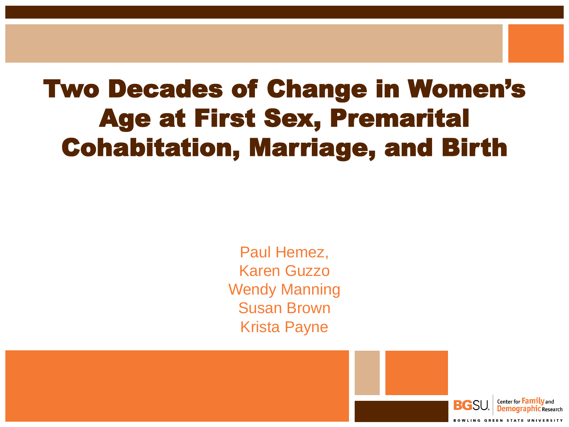# Two Decades of Change in Women's Age at First Sex, Premarital Cohabitation, Marriage, and Birth

Paul Hemez, Karen Guzzo Wendy Manning Susan Brown Krista Payne

Center for **Family** and

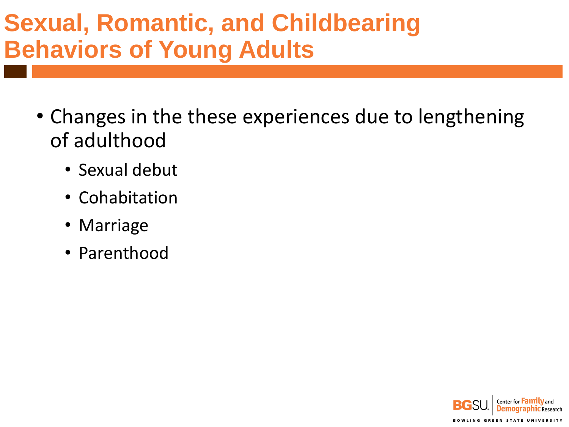# **Sexual, Romantic, and Childbearing Behaviors of Young Adults**

- Changes in the these experiences due to lengthening of adulthood
	- Sexual debut
	- Cohabitation
	- Marriage
	- Parenthood

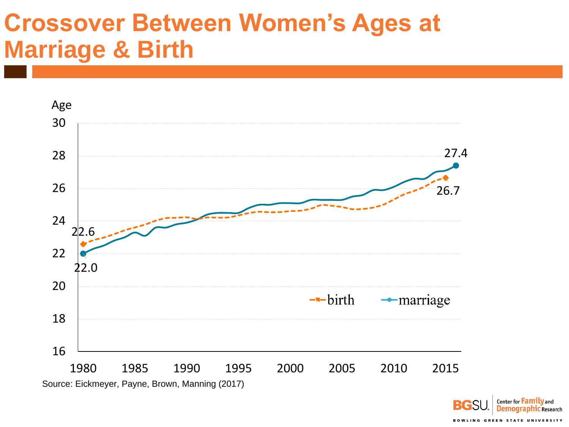#### **Crossover Between Women's Ages at Marriage & Birth**



Center for **Family** and RG **Demographic Research BOWLING GREEN STATE UNIVERSITY**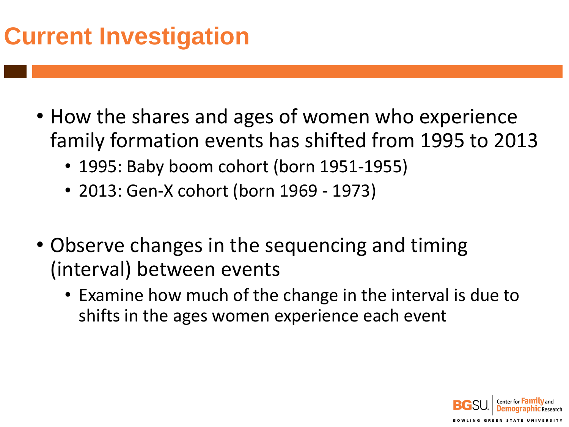# **Current Investigation**

- How the shares and ages of women who experience family formation events has shifted from 1995 to 2013
	- 1995: Baby boom cohort (born 1951-1955)
	- 2013: Gen-X cohort (born 1969 1973)
- Observe changes in the sequencing and timing (interval) between events
	- Examine how much of the change in the interval is due to shifts in the ages women experience each event

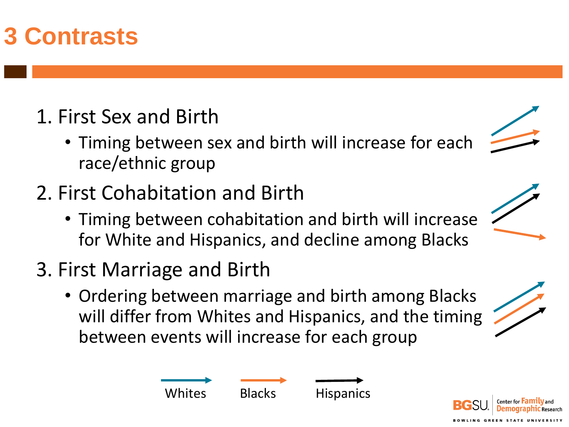# **3 Contrasts**

#### 1. First Sex and Birth

- Timing between sex and birth will increase for each race/ethnic group
- 2. First Cohabitation and Birth
	- Timing between cohabitation and birth will increase for White and Hispanics, and decline among Blacks
- 3. First Marriage and Birth
	- Ordering between marriage and birth among Blacks will differ from Whites and Hispanics, and the timing between events will increase for each group



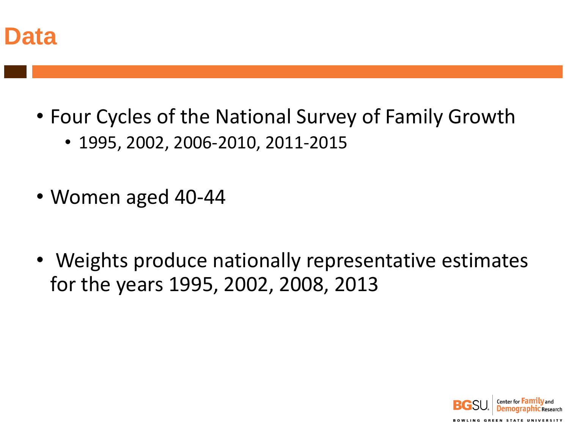

- Four Cycles of the National Survey of Family Growth
	- 1995, 2002, 2006-2010, 2011-2015
- Women aged 40-44
- Weights produce nationally representative estimates for the years 1995, 2002, 2008, 2013

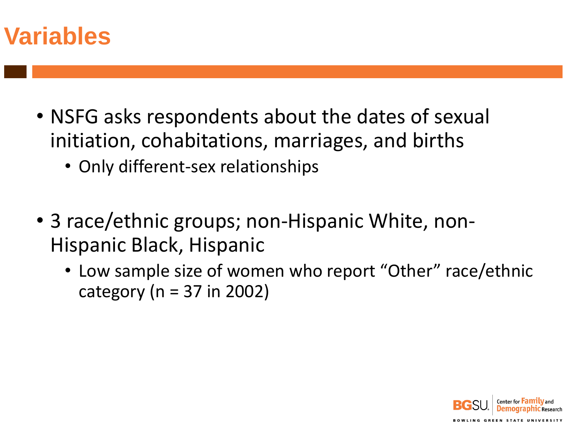

- NSFG asks respondents about the dates of sexual initiation, cohabitations, marriages, and births
	- Only different-sex relationships
- 3 race/ethnic groups; non-Hispanic White, non-Hispanic Black, Hispanic
	- Low sample size of women who report "Other" race/ethnic category ( $n = 37$  in 2002)

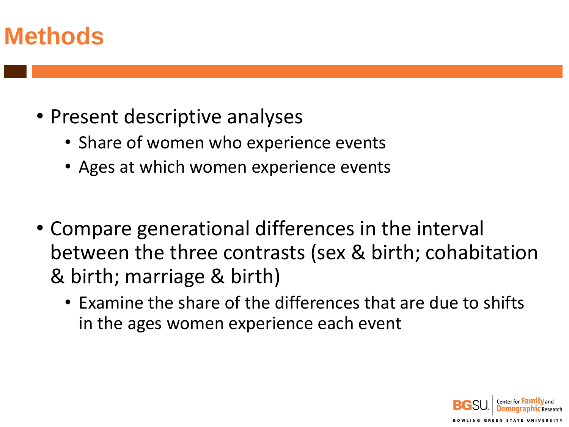#### **Methods**

- Present descriptive analyses
	- Share of women who experience events
	- Ages at which women experience events
- Compare generational differences in the interval between the three contrasts (sex & birth; cohabitation & birth; marriage & birth)
	- Examine the share of the differences that are due to shifts in the ages women experience each event

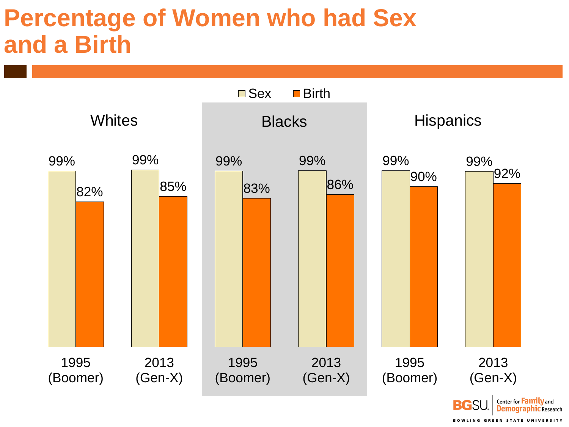#### **Percentage of Women who had Sex and a Birth**

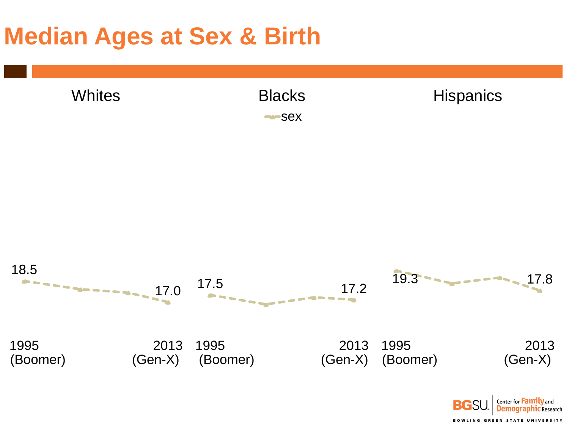#### **Median Ages at Sex & Birth**

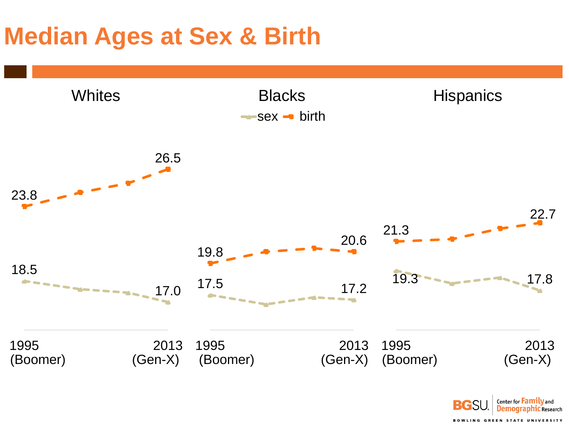# **Median Ages at Sex & Birth**



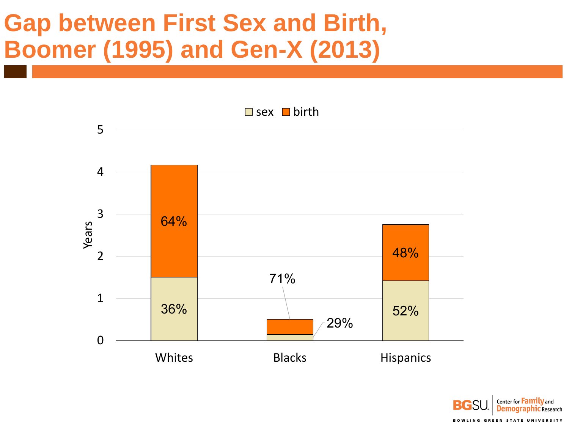# **Gap between First Sex and Birth, Boomer (1995) and Gen-X (2013)**



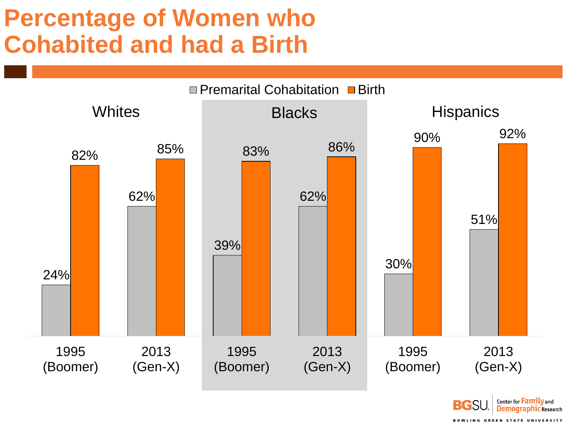## **Percentage of Women who Cohabited and had a Birth**



Center for **Family** and **BGS Demographic Research BOWLING GREEN STATE UNIVERSITY**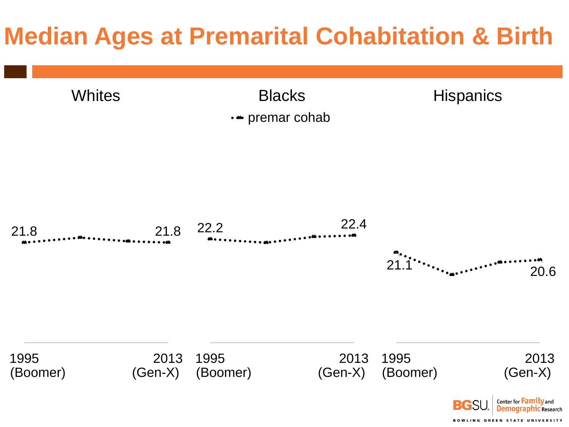# **Median Ages at Premarital Cohabitation & Birth**

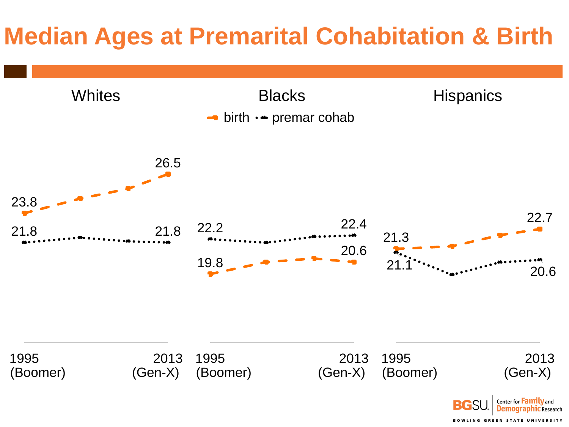# **Median Ages at Premarital Cohabitation & Birth**

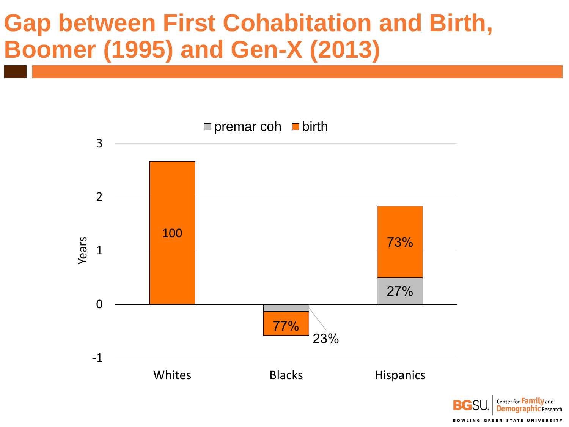## **Gap between First Cohabitation and Birth, Boomer (1995) and Gen-X (2013)**



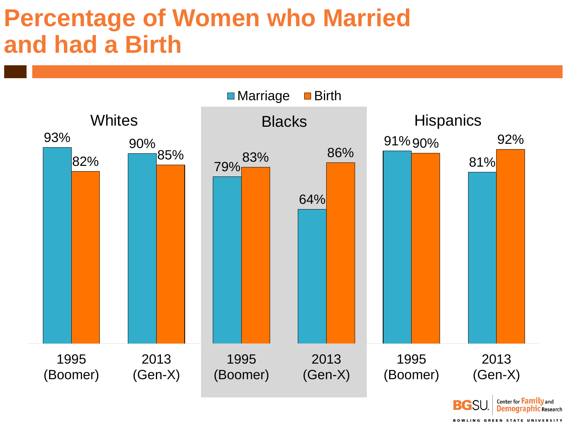#### **Percentage of Women who Married and had a Birth**

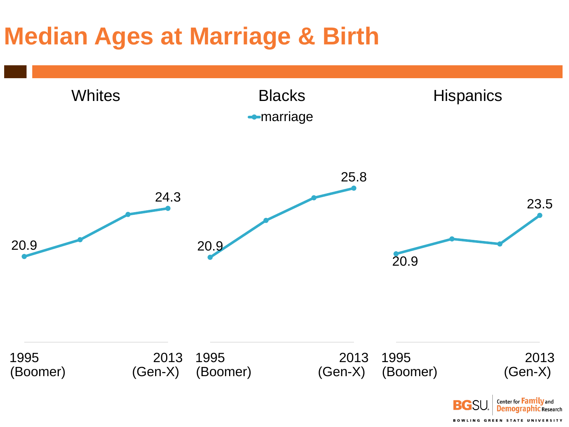# **Median Ages at Marriage & Birth**

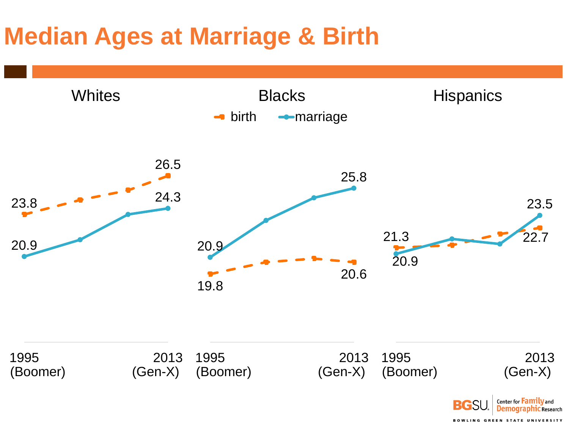# **Median Ages at Marriage & Birth**

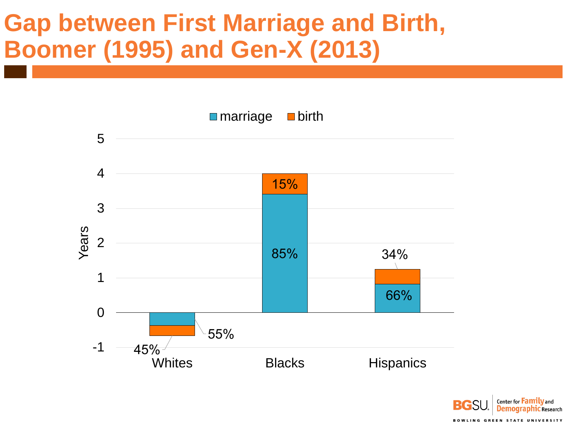# **Gap between First Marriage and Birth, Boomer (1995) and Gen-X (2013)**



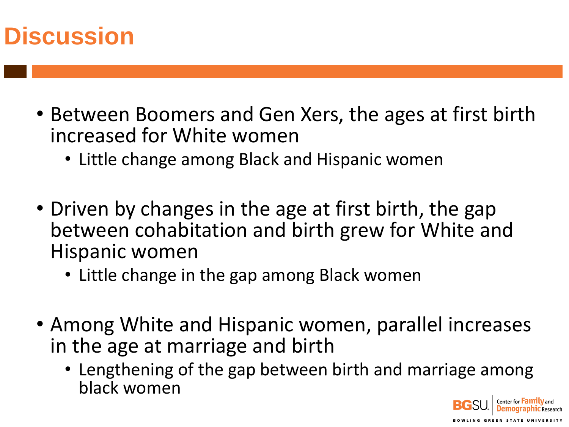### **Discussion**

- Between Boomers and Gen Xers, the ages at first birth increased for White women
	- Little change among Black and Hispanic women
- Driven by changes in the age at first birth, the gap between cohabitation and birth grew for White and Hispanic women
	- Little change in the gap among Black women
- Among White and Hispanic women, parallel increases in the age at marriage and birth
	- Lengthening of the gap between birth and marriage among black women

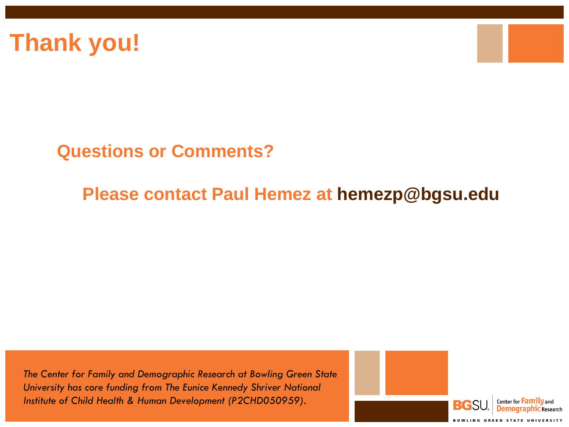



#### **Questions or Comments?**

#### **Please contact Paul Hemez at hemezp@bgsu.edu**

*The Center for Family and Demographic Research at Bowling Green State University has core funding from The Eunice Kennedy Shriver National Institute of Child Health & Human Development (P2CHD050959).*

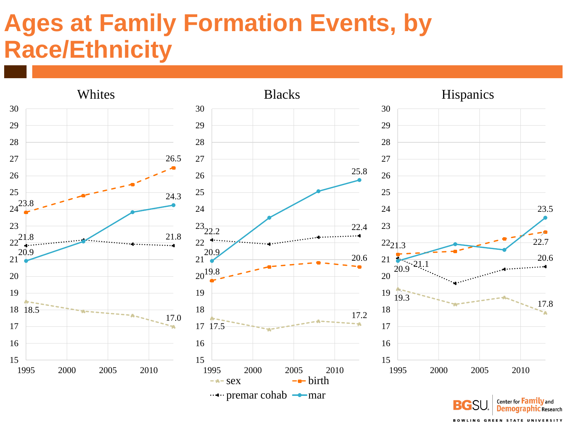# **Ages at Family Formation Events, by Race/Ethnicity**

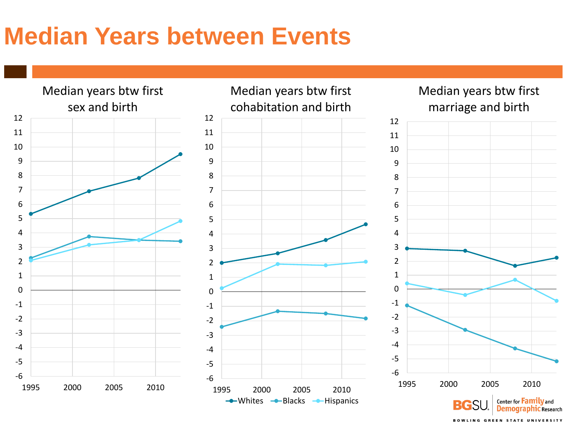# **Median Years between Events**

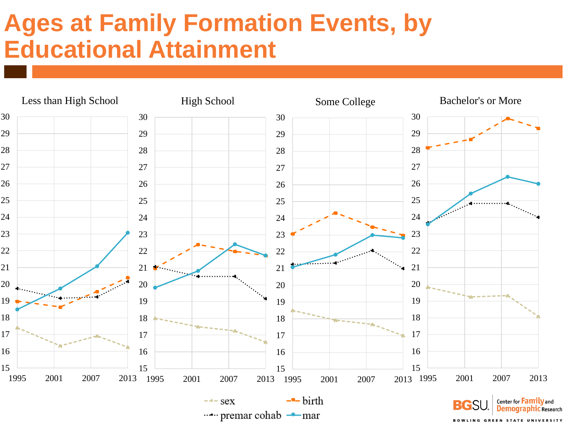# **Ages at Family Formation Events, by Educational Attainment**